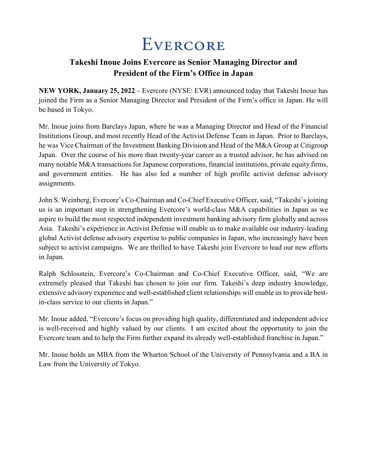## EVERCORE

## **Takeshi Inoue Joins Evercore as Senior Managing Director and President of the Firm's Office in Japan**

**NEW YORK, January 25, 2022** – Evercore (NYSE: EVR) announced today that Takeshi Inoue has joined the Firm as a Senior Managing Director and President of the Firm's office in Japan. He will be based in Tokyo.

Mr. Inoue joins from Barclays Japan, where he was a Managing Director and Head of the Financial Institutions Group, and most recently Head of the Activist Defense Team in Japan. Prior to Barclays, he was Vice Chairman of the Investment Banking Division and Head of the M&A Group at Citigroup Japan. Over the course of his more than twenty-year career as a trusted advisor, he has advised on many notable M&A transactions for Japanese corporations, financial institutions, private equity firms, and government entities. He has also led a number of high profile activist defense advisory assignments.

John S. Weinberg, Evercore's Co-Chairman and Co-Chief Executive Officer, said, "Takeshi's joining us is an important step in strengthening Evercore's world-class M&A capabilities in Japan as we aspire to build the most respected independent investment banking advisory firm globally and across Asia. Takeshi's experience in Activist Defense will enable us to make available our industry-leading global Activist defense advisory expertise to public companies in Japan, who increasingly have been subject to activist campaigns. We are thrilled to have Takeshi join Evercore to lead our new efforts in Japan.

Ralph Schlosstein, Evercore's Co-Chairman and Co-Chief Executive Officer, said, "We are extremely pleased that Takeshi has chosen to join our firm. Takeshi's deep industry knowledge, extensive advisory experience and well-established client relationships will enable us to provide bestin-class service to our clients in Japan."

Mr. Inoue added, "Evercore's focus on providing high quality, differentiated and independent advice is well-received and highly valued by our clients. I am excited about the opportunity to join the Evercore team and to help the Firm further expand its already well-established franchise in Japan."

Mr. Inoue holds an MBA from the Wharton School of the University of Pennsylvania and a BA in Law from the University of Tokyo.